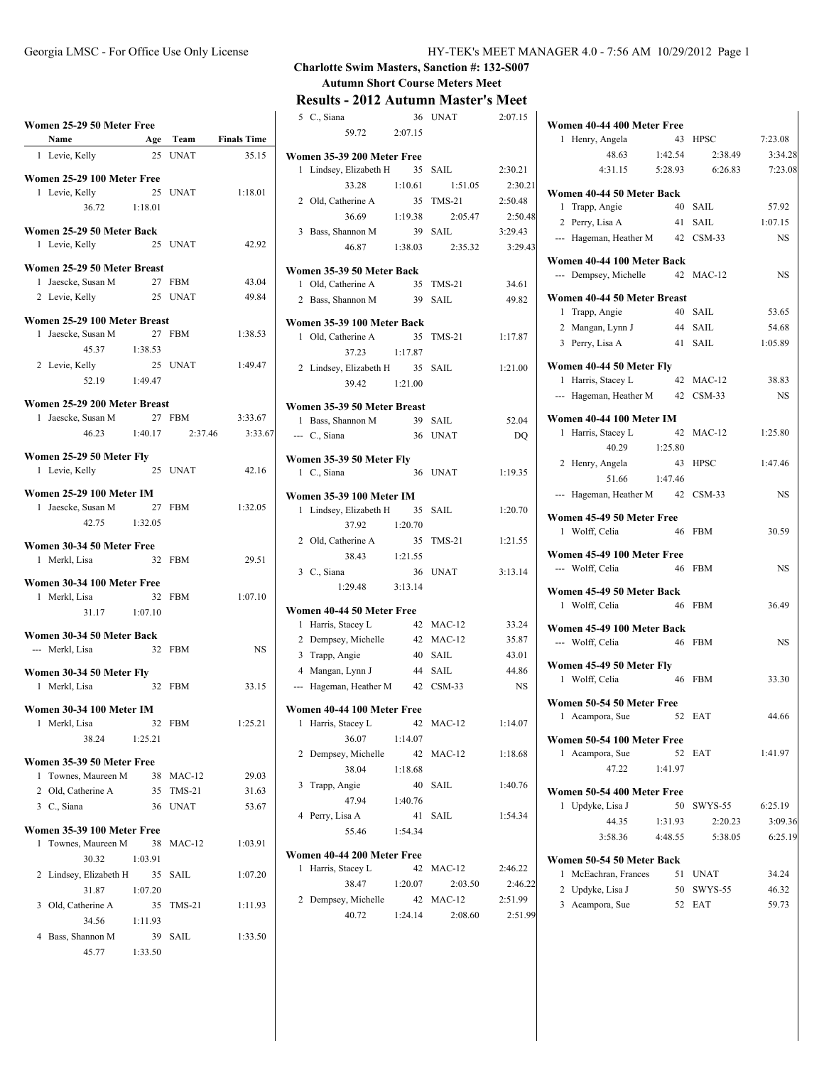# **Women 25-29 50 Meter Free**

|              | Name                                      | Age Team |             | <b>Finals Time</b> |
|--------------|-------------------------------------------|----------|-------------|--------------------|
| 1            | Levie, Kelly                              | 25       | <b>INAT</b> | 35.15              |
|              |                                           |          |             |                    |
|              | Women 25-29 100 Meter Free                |          |             |                    |
| $\mathbf{1}$ | Levie, Kelly                              | 25       | <b>UNAT</b> | 1:18.01            |
|              | 36.72 1:18.01                             |          |             |                    |
|              | Women 25-29 50 Meter Back                 |          |             |                    |
|              | 1 Levie, Kelly                            |          | 25 UNAT     | 42.92              |
|              | Women 25-29 50 Meter Breast               |          |             |                    |
| 1            | Jaescke, Susan M                          |          | 27 FBM      | 43.04              |
|              | 2 Levie, Kelly                            |          | 25 UNAT     | 49.84              |
|              |                                           |          |             |                    |
|              | Women 25-29 100 Meter Breast              |          |             |                    |
| 1            | Jaescke, Susan M                          |          | 27 FBM      | 1:38.53            |
|              | 45.37                                     | 1:38.53  |             |                    |
|              | 2 Levie, Kelly                            |          | 25 UNAT     | 1:49.47            |
|              | 52.19 1:49.47                             |          |             |                    |
|              | Women 25-29 200 Meter Breast              |          |             |                    |
| 1            | Jaescke, Susan M                          |          | 27 FBM      | 3:33.67            |
|              | 46.23                                     | 1:40.17  | 2:37.46     | 3:33.67            |
|              | Women 25-29 50 Meter Fly                  |          |             |                    |
|              | 1 Levie, Kelly                            |          | 25 UNAT     | 42.16              |
|              |                                           |          |             |                    |
|              | Women 25-29 100 Meter IM                  |          |             |                    |
| 1            | Jaescke, Susan M                          | 27       | <b>FBM</b>  | 1:32.05            |
|              | 42.75                                     | 1:32.05  |             |                    |
|              | Women 30-34 50 Meter Free                 |          |             |                    |
|              | 1 Merkl, Lisa                             |          | 32 FBM      | 29.51              |
|              |                                           |          |             |                    |
| 1            | Women 30-34 100 Meter Free<br>Merkl, Lisa | 32       | <b>FBM</b>  | 1:07.10            |
|              | 31.17 1:07.10                             |          |             |                    |
|              |                                           |          |             |                    |
|              | Women 30-34 50 Meter Back                 |          |             |                    |
|              | --- Merkl, Lisa                           | 32       | <b>FBM</b>  | NS                 |
|              | Women 30-34 50 Meter Fly                  |          |             |                    |
| 1            | Merkl, Lisa                               |          | 32 FBM      | 33.15              |
|              |                                           |          |             |                    |
|              | Women 30-34 100 Meter IM<br>1 Merkl, Lisa |          | 32 FBM      | 1:25.21            |
|              | 38.24                                     | 1:25.21  |             |                    |
|              |                                           |          |             |                    |
|              | Women 35-39 50 Meter Free                 |          |             |                    |
| 1            | Townes, Maureen M                         | 38       | $MAC-12$    | 29.03              |
|              | 2 Old, Catherine A                        | 35       | $TMS-21$    | 31.63              |
|              | 3 C. Siana                                | 36       | <b>UNAT</b> | 53.67              |
|              | Women 35-39 100 Meter Free                |          |             |                    |
| 1            | Townes, Maureen M                         | 38       | MAC-12      | 1:03.91            |
|              | 30.32                                     | 1:03.91  |             |                    |
| 2            | Lindsey, Elizabeth H                      | 35       | SAIL        | 1:07.20            |
|              | 31.87                                     | 1:07.20  |             |                    |
| 3            | Old. Catherine A                          | 35       | TMS-21      | 1:11.93            |
|              | 34.56                                     | 1:11.93  |             |                    |
| 4            | Bass, Shannon M                           | 39       | SAIL        | 1:33.50            |
|              | 45.77 1:33.50                             |          |             |                    |

## **Charlotte Swim Masters, Sanction #: 132-S007 Autumn Short Course Meters Meet**

## **Results - 2012 Autumn Master's Meet**

|                | 5 C., Siana                             | 36            | UNAT          | 2:07.15   |
|----------------|-----------------------------------------|---------------|---------------|-----------|
|                | 59.72                                   | 2:07.15       |               |           |
|                | Women 35-39 200 Meter Free              |               |               |           |
| 1              | Lindsey, Elizabeth H 35                 |               | SAIL          | 2:30.21   |
|                | 33.28                                   | 1:10.61       | 1:51.05       | 2:30.21   |
|                | 2 Old, Catherine A                      | 35            | $TMS-21$      | 2:50.48   |
|                | 36.69                                   | 1:19.38       | 2:05.47       | 2:50.48   |
|                | 3 Bass, Shannon M                       | 39            | SAIL          | 3:29.43   |
|                | 46.87                                   | 1:38.03       | 2:35.32       | 3:29.43   |
|                | Women 35-39 50 Meter Back               |               |               |           |
| 1              | Old, Catherine A                        | 35            | <b>TMS-21</b> | 34.61     |
| 2              | Bass, Shannon M                         | 39            | SAIL          | 49.82     |
|                | Women 35-39 100 Meter Back              |               |               |           |
| 1              | Old, Catherine A                        | 35            | $TMS-21$      | 1:17.87   |
|                | 37.23                                   | 1:17.87       |               |           |
| 2              | Lindsey, Elizabeth H 35                 |               | SAIL          | 1:21.00   |
|                | 39.42                                   | 1:21.00       |               |           |
|                | Women 35-39 50 Meter Breast             |               |               |           |
|                | 1 Bass, Shannon M                       | 39            | <b>SAIL</b>   | 52.04     |
|                | --- C., Siana                           |               | 36 UNAT       | DO        |
|                |                                         |               |               |           |
|                | Women 35-39 50 Meter Fly<br>1 C., Siana | 36            | <b>UNAT</b>   | 1:19.35   |
|                |                                         |               |               |           |
|                | <b>Women 35-39 100 Meter IM</b>         |               |               |           |
| $\mathbf{1}$   | Lindsey, Elizabeth H                    | 35            | SAIL          | 1:20.70   |
|                | 37.92                                   | 1:20.70       |               |           |
| $\overline{2}$ | Old, Catherine A                        | 35            | $TMS-21$      | 1:21.55   |
|                | 38.43<br>3 C., Siana                    | 1:21.55<br>36 | <b>UNAT</b>   | 3:13.14   |
|                | 1:29.48                                 | 3:13.14       |               |           |
|                |                                         |               |               |           |
|                | Women 40-44 50 Meter Free               |               |               |           |
| 1              | Harris, Stacey L                        |               | 42 MAC-12     | 33.24     |
|                | 2 Dempsey, Michelle                     | 42            | $MAC-12$      | 35.87     |
|                | 3 Trapp, Angie                          | 40            | SAIL          | 43.01     |
|                | 4 Mangan, Lynn J                        | 44            | <b>SAIL</b>   | 44.86     |
| ---            | Hageman, Heather M                      | 42            | $CSM-33$      | <b>NS</b> |
|                | Women 40-44 100 Meter Free              |               |               |           |
| 1              | Harris, Stacey L                        | 42            | $MAC-12$      | 1:14.07   |
|                | 36.07                                   | 1:14.07       |               |           |
| 2              | Dempsey, Michelle                       | 42            | $MAC-12$      | 1:18.68   |
|                | 38.04                                   | 1:18.68       |               |           |
| 3              | Trapp, Angie                            | 40            | SAIL          | 1:40.76   |
|                | 47.94                                   | 1:40.76       |               |           |
| 4              | Perry, Lisa A                           | 41            | SAIL          | 1:54.34   |
|                | 55.46                                   | 1:54.34       |               |           |
|                | Women 40-44 200 Meter Free              |               |               |           |
| 1              | Harris, Stacey L                        | 42            | $MAC-12$      | 2:46.22   |
|                | 38.47                                   | 1:20.07       | 2:03.50       | 2:46.22   |
| 2              | Dempsey, Michelle                       | 42            | $MAC-12$      | 2:51.99   |
|                | 40.72                                   | 1:24.14       | 2:08.60       | 2:51.99   |

| Women 40-44 400 Meter Free                          |         |                 |           |
|-----------------------------------------------------|---------|-----------------|-----------|
| Henry, Angela<br>1                                  | 43      | <b>HPSC</b>     | 7:23.08   |
| 48.63                                               | 1:42.54 | 2:38.49         | 3:34.28   |
| 4:31.15                                             |         | 5:28.93 6:26.83 | 7:23.08   |
| Women 40-44 50 Meter Back                           |         |                 |           |
| 1<br>Trapp, Angie                                   | 40      | SAIL            | 57.92     |
| 2 Perry, Lisa A                                     | 41      | SAIL            | 1:07.15   |
| --- Hageman, Heather M                              | 42      | $CSM-33$        | <b>NS</b> |
| Women 40-44 100 Meter Back<br>--- Dempsey, Michelle |         | 42 MAC-12       | <b>NS</b> |
| Women 40-44 50 Meter Breast                         |         |                 |           |
| 1<br>Trapp, Angie                                   | 40      | SAIL            | 53.65     |
| 2 Mangan, Lynn J                                    | 44      | SAIL            | 54.68     |
| 3 Perry, Lisa A                                     | 41      | SAIL            | 1:05.89   |
| Women 40-44 50 Meter Fly                            |         |                 |           |
| Harris, Stacey L<br>1                               |         | 42 MAC-12       | 38.83     |
| --- Hageman, Heather M                              |         | 42 CSM-33       | <b>NS</b> |
| Women 40-44 100 Meter IM                            |         |                 |           |
| Harris, Stacey L<br>1                               | 42      | $MAC-12$        | 1:25.80   |
| 40.29                                               | 1:25.80 |                 |           |
| 2 Henry, Angela                                     | 43      | <b>HPSC</b>     | 1:47.46   |
| 51.66                                               | 1:47.46 |                 |           |
| --- Hageman, Heather M 42 CSM-33                    |         |                 | <b>NS</b> |
| Women 45-49 50 Meter Free<br>Wolff, Celia<br>1      | 46      | <b>FBM</b>      | 30.59     |
| Women 45-49 100 Meter Free<br>--- Wolff, Celia      | 46      | <b>FBM</b>      | <b>NS</b> |
| Women 45-49 50 Meter Back                           |         |                 |           |
| Wolff, Celia<br>1                                   | -46     | <b>FBM</b>      | 36.49     |
| Women 45-49 100 Meter Back                          |         |                 |           |
| --- Wolff, Celia                                    |         | 46 FBM          | <b>NS</b> |
| Women 45-49 50 Meter Fly                            |         |                 |           |
| 1 Wolff, Celia                                      | 46      | <b>FBM</b>      | 33.30     |
| Women 50-54 50 Meter Free                           |         |                 |           |
| 1<br>Acampora, Sue                                  | 52      | EAT             | 44.66     |
| Women 50-54 100 Meter Free                          |         |                 |           |
| Acampora, Sue<br>1                                  | 52      | EAT             | 1:41.97   |
| 47.22                                               | 1:41.97 |                 |           |
| Women 50-54 400 Meter Free                          |         |                 |           |
| Updyke, Lisa J<br>1                                 | 50      | SWYS-55         | 6:25.19   |
| 44.35                                               | 1:31.93 | 2:20.23         | 3:09.36   |
| 3:58.36                                             | 4:48.55 | 5:38.05         | 6:25.19   |
| Women 50-54 50 Meter Back                           |         |                 |           |
| McEachran, Frances<br>1                             | 51      | <b>UNAT</b>     | 34.24     |
| Updyke, Lisa J<br>2                                 | 50      | SWYS-55         | 46.32     |
| 3 Acampora, Sue                                     | 52      | EAT             | 59.73     |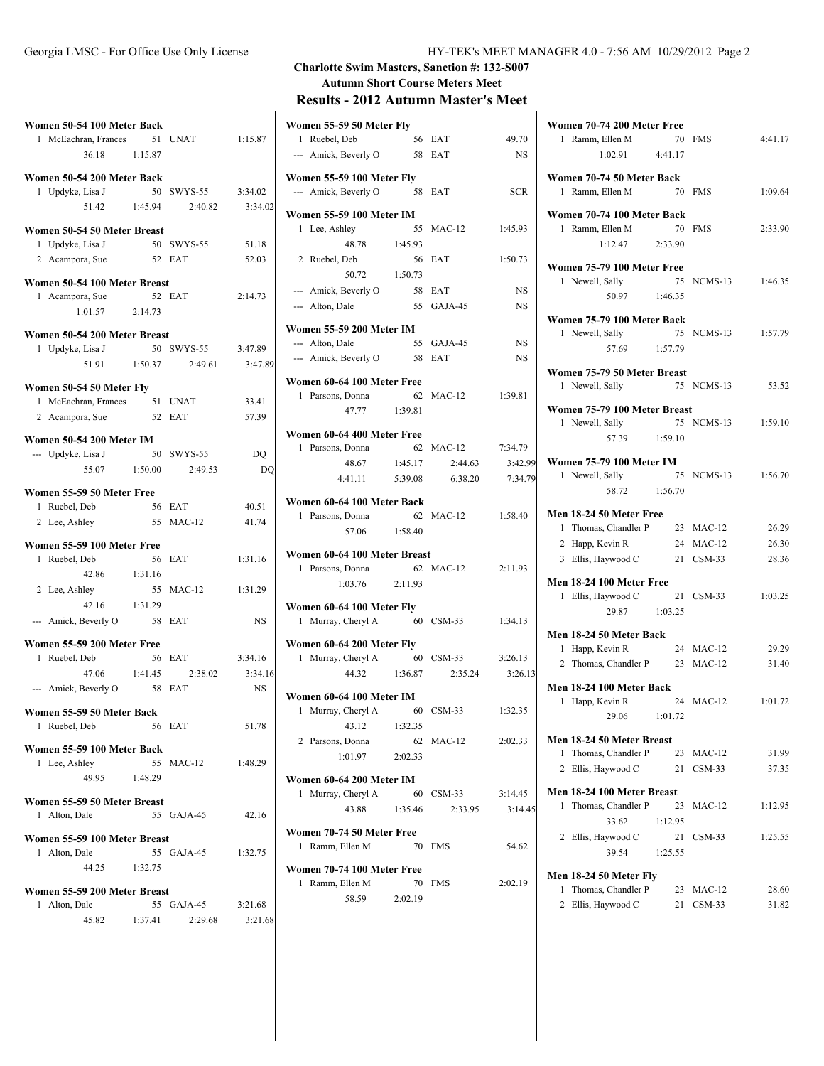| Women 50-54 100 Meter Back                    |         |                       |           |
|-----------------------------------------------|---------|-----------------------|-----------|
| 1 McEachran, Frances 51 UNAT                  |         |                       | 1:15.87   |
| 36.18 1:15.87                                 |         |                       |           |
|                                               |         |                       |           |
| Women 50-54 200 Meter Back                    |         |                       |           |
| 1 Updyke, Lisa J                              |         | 50 SWYS-55            | 3:34.02   |
| 51.42                                         | 1:45.94 | 2:40.82               | 3:34.02   |
|                                               |         |                       |           |
| Women 50-54 50 Meter Breast                   |         |                       |           |
| 1 Updyke, Lisa J                              |         | 50 SWYS-55            | 51.18     |
| 2 Acampora, Sue                               |         | 52 EAT                | 52.03     |
| Women 50-54 100 Meter Breast                  |         |                       |           |
| 1 Acampora, Sue                               |         | 52 EAT                | 2:14.73   |
| $1:01.57$ 2:14.73                             |         |                       |           |
|                                               |         |                       |           |
| Women 50-54 200 Meter Breast                  |         |                       |           |
| 1 Updyke, Lisa J                              |         | 50 SWYS-55            | 3:47.89   |
|                                               |         | 51.91 1:50.37 2:49.61 | 3:47.89   |
|                                               |         |                       |           |
| Women 50-54 50 Meter Fly                      |         |                       |           |
| 1 McEachran, Frances 51 UNAT                  |         |                       | 33.41     |
| 2 Acampora, Sue                               |         | 52 EAT                | 57.39     |
|                                               |         |                       |           |
| <b>Women 50-54 200 Meter IM</b>               |         |                       |           |
| --- Updyke, Lisa J                            | 50      | SWYS-55               | DO        |
| 55.07 1:50.00                                 |         | 2:49.53               | DQ        |
|                                               |         |                       |           |
| Women 55-59 50 Meter Free                     |         |                       |           |
| 1 Ruebel, Deb                                 |         | 56 EAT                | 40.51     |
| 2 Lee, Ashley                                 |         | 55 MAC-12             | 41.74     |
| Women 55-59 100 Meter Free                    |         |                       |           |
| 1 Ruebel, Deb                                 | 56      | EAT                   | 1:31.16   |
| 42.86 1:31.16                                 |         |                       |           |
| 2 Lee, Ashley                                 | 55      | $MAC-12$              | 1:31.29   |
|                                               |         |                       |           |
| 42.16                                         | 1:31.29 |                       |           |
| --- Amick, Beverly O                          | 58 EAT  |                       | <b>NS</b> |
| Women 55-59 200 Meter Free                    |         |                       |           |
| 1 Ruebel, Deb                                 | 56      | EAT                   | 3:34.16   |
|                                               |         |                       | 3:34.16   |
| 47.06 1:41.45                                 |         | 2:38.02               |           |
| --- Amick, Beverly O 58 EAT                   |         |                       | <b>NS</b> |
| Women 55-59 50 Meter Back                     |         |                       |           |
| Ruebel, Deb<br>1                              |         | 56 EAT                | 51.78     |
|                                               |         |                       |           |
| Women 55-59 100 Meter Back                    |         |                       |           |
| 1 Lee, Ashley                                 |         | 55 MAC-12             | 1:48.29   |
| 49.95                                         | 1:48.29 |                       |           |
|                                               |         |                       |           |
| Women 55-59 50 Meter Breast                   |         |                       |           |
| Alton, Dale<br>1                              |         | 55 GAJA-45            | 42.16     |
|                                               |         |                       |           |
| Women 55-59 100 Meter Breast<br>1 Alton, Dale |         | 55 GAJA-45            | 1:32.75   |
|                                               |         |                       |           |
| 44.25 1:32.75                                 |         |                       |           |
| Women 55-59 200 Meter Breast                  |         |                       |           |
| Alton, Dale<br>1                              |         | 55 GAJA-45            | 3:21.68   |
|                                               |         | 45.82 1:37.41 2:29.68 | 3:21.68   |
|                                               |         |                       |           |

## **Charlotte Swim Masters, Sanction #: 132-S007 Autumn Short Course Meters Meet Results - 2012 Autumn Master's Meetings**

|  |  | Results - 2012 Autumn Master's Meet |  |  |
|--|--|-------------------------------------|--|--|
|  |  |                                     |  |  |

| Women 55-59 50 Meter Fly                                   |         |                         |            |
|------------------------------------------------------------|---------|-------------------------|------------|
| 1 Ruebel, Deb                                              |         | 56 EAT                  | 49.70      |
| --- Amick, Beverly O 58 EAT                                |         |                         | <b>NS</b>  |
| Women 55-59 100 Meter Fly                                  |         |                         |            |
| --- Amick, Beverly O                                       |         | 58 EAT                  | <b>SCR</b> |
| <b>Women 55-59 100 Meter IM</b>                            |         |                         |            |
| 1 Lee, Ashley                                              |         | 55 MAC-12               | 1:45.93    |
| 48.78 1:45.93                                              |         |                         |            |
| 2 Ruebel, Deb                                              |         | 56 EAT                  | 1:50.73    |
| 50.72                                                      | 1:50.73 |                         |            |
| --- Amick, Beverly O                                       |         | 58 EAT                  | NS         |
| --- Alton, Dale                                            |         | 55 GAJA-45              | <b>NS</b>  |
| Women 55-59 200 Meter IM                                   |         |                         |            |
| --- Alton, Dale                                            |         | 55 GAJA-45              | NS         |
| --- Amick, Beverly O 58 EAT                                |         |                         | <b>NS</b>  |
|                                                            |         |                         |            |
| Women 60-64 100 Meter Free                                 |         |                         |            |
| 1 Parsons, Donna                                           |         | 62 MAC-12               | 1:39.81    |
| 47.77 1:39.81                                              |         |                         |            |
| Women 60-64 400 Meter Free                                 |         |                         |            |
| $\mathbf{1}$<br>Parsons, Donna                             |         | 62 MAC-12               | 7:34.79    |
|                                                            |         | 48.67 1:45.17 2:44.63   | 3:42.99    |
|                                                            |         | 4:41.11 5:39.08 6:38.20 | 7:34.79    |
| Women 60-64 100 Meter Back                                 |         |                         |            |
| 1 Parsons, Donna                                           |         | 62 MAC-12               | 1:58.40    |
| 57.06 1:58.40                                              |         |                         |            |
|                                                            |         |                         |            |
| Women 60-64 100 Meter Breast<br>1 Parsons, Donna 62 MAC-12 |         |                         | 2:11.93    |
| 1:03.76 2:11.93                                            |         |                         |            |
|                                                            |         |                         |            |
| Women 60-64 100 Meter Fly                                  |         |                         |            |
| 1 Murray, Cheryl A                                         |         | 60 CSM-33               | 1:34.13    |
| Women 60-64 200 Meter Fly                                  |         |                         |            |
| 1 Murray, Cheryl A 60 CSM-33                               |         |                         | 3:26.13    |
|                                                            |         | 44.32 1:36.87 2:35.24   | 3:26.13    |
| Women 60-64 100 Meter IM                                   |         |                         |            |
| Murray, Cheryl A<br>1                                      |         | 60 CSM-33               | 1:32.35    |
| 43.12                                                      | 1:32.35 |                         |            |
| 2 Parsons, Donna                                           |         | 62 MAC-12               | 2:02.33    |
| 1:01.97                                                    | 2:02.33 |                         |            |
|                                                            |         |                         |            |
| Women 60-64 200 Meter IM                                   |         |                         |            |
| 1 Murray, Cheryl A                                         |         | 60 CSM-33               | 3:14.45    |
| 43.88                                                      | 1:35.46 | 2:33.95                 | 3:14.45    |
| Women 70-74 50 Meter Free                                  |         |                         |            |
| Ramm, Ellen M<br>1                                         |         | 70 FMS                  | 54.62      |
| Women 70-74 100 Meter Free                                 |         |                         |            |
| Ramm, Ellen M<br>1                                         | 70      | <b>FMS</b>              | 2:02.19    |
| 58.59 2:02.19                                              |         |                         |            |

| Women 70-74 200 Meter Free      |         |            |         |
|---------------------------------|---------|------------|---------|
| Ramm, Ellen M<br>1              | 70      | <b>FMS</b> | 4:41.17 |
| 1:02.91                         | 4:41.17 |            |         |
|                                 |         |            |         |
| Women 70-74 50 Meter Back       |         |            |         |
| 1 Ramm, Ellen M                 | 70      | <b>FMS</b> | 1:09.64 |
| Women 70-74 100 Meter Back      |         |            |         |
|                                 | 70      |            |         |
| 1 Ramm, Ellen M                 |         | <b>FMS</b> | 2:33.90 |
| $1:12.47$ $2:33.90$             |         |            |         |
| Women 75-79 100 Meter Free      |         |            |         |
| 1 Newell, Sally                 | 75      | NCMS-13    | 1:46.35 |
| 50.97 1:46.35                   |         |            |         |
|                                 |         |            |         |
| Women 75-79 100 Meter Back      |         |            |         |
| 1 Newell, Sally                 | 75      | NCMS-13    | 1:57.79 |
| 57.69                           | 1:57.79 |            |         |
|                                 |         |            |         |
| Women 75-79 50 Meter Breast     |         |            |         |
| 1 Newell, Sally                 |         | 75 NCMS-13 | 53.52   |
| Women 75-79 100 Meter Breast    |         |            |         |
|                                 | 75      | NCMS-13    |         |
| 1 Newell, Sally                 |         |            | 1:59.10 |
| 57.39 1:59.10                   |         |            |         |
| <b>Women 75-79 100 Meter IM</b> |         |            |         |
| 1 Newell, Sally                 | 75      | $NCMS-13$  | 1:56.70 |
|                                 |         |            |         |
| 58.72 1:56.70                   |         |            |         |
| Men 18-24 50 Meter Free         |         |            |         |
| 1 Thomas, Chandler P            |         | 23 MAC-12  | 26.29   |
| 2 Happ, Kevin R                 |         | 24 MAC-12  | 26.30   |
| 3 Ellis, Haywood C              |         | 21 CSM-33  | 28.36   |
|                                 |         |            |         |
| Men 18-24 100 Meter Free        |         |            |         |
| 1 Ellis, Haywood C              | 21      | $CSM-33$   | 1:03.25 |
| 29.87                           | 1:03.25 |            |         |
|                                 |         |            |         |
| Men 18-24 50 Meter Back         |         |            |         |
| Happ, Kevin R<br>1              |         | 24 MAC-12  | 29.29   |
| 2 Thomas, Chandler P 23         |         | $MAC-12$   | 31.40   |
| Men 18-24 100 Meter Back        |         |            |         |
|                                 | 24      | $MAC-12$   | 1:01.72 |
| Happ, Kevin R<br>1              |         |            |         |
| 29.06                           | 1:01.72 |            |         |
| Men 18-24 50 Meter Breast       |         |            |         |
| Thomas, Chandler P<br>1         | 23      | $MAC-12$   | 31.99   |
| Ellis, Haywood C<br>2           | 21      | $CSM-33$   | 37.35   |
|                                 |         |            |         |
| Men 18-24 100 Meter Breast      |         |            |         |
| Thomas, Chandler P<br>1         | 23      | $MAC-12$   | 1:12.95 |
| 33.62                           | 1:12.95 |            |         |
| Ellis, Haywood C<br>2           | 21      | $CSM-33$   | 1:25.55 |
| 39.54                           | 1:25.55 |            |         |
|                                 |         |            |         |
| Men 18-24 50 Meter Fly          |         |            |         |
| Thomas, Chandler P<br>1         | 23      | $MAC-12$   | 28.60   |
| Ellis, Haywood C<br>2           | 21      | $CSM-33$   | 31.82   |
|                                 |         |            |         |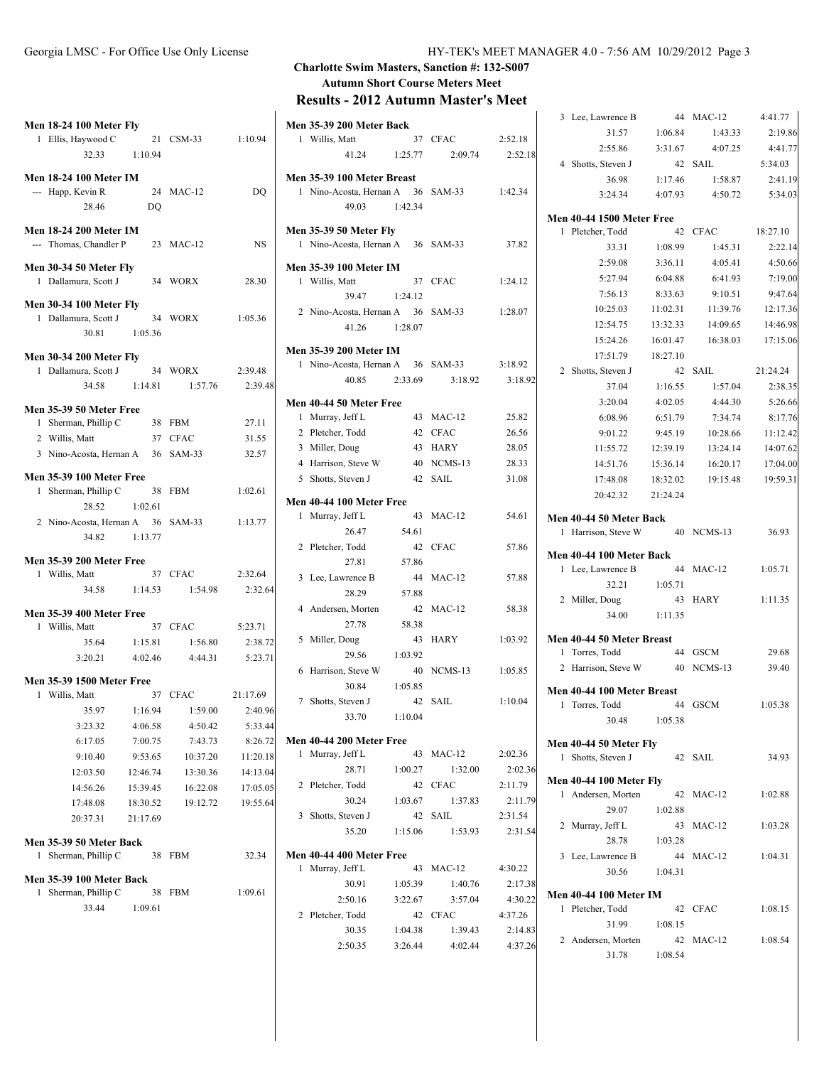|  | Georgia LMSC - For Office Use Only License |  |  |
|--|--------------------------------------------|--|--|
|  |                                            |  |  |

|   | Men 18-24 100 Meter Fly<br>1 Ellis, Haywood C 21 CSM-33 1:10.94<br>32.33 1:10.94                                          |                                                                               |                                                                               |                                                                               |
|---|---------------------------------------------------------------------------------------------------------------------------|-------------------------------------------------------------------------------|-------------------------------------------------------------------------------|-------------------------------------------------------------------------------|
|   | Men 18-24 100 Meter IM<br>--- Happ, Kevin R<br>28.46                                                                      | DO                                                                            | 24 MAC-12                                                                     | DQ                                                                            |
|   | <b>Men 18-24 200 Meter IM</b><br>--- Thomas, Chandler P 23 MAC-12                                                         |                                                                               |                                                                               | NS                                                                            |
|   | Men 30-34 50 Meter Fly<br>1 Dallamura, Scott J                                                                            |                                                                               | 34 WORX                                                                       | 28.30                                                                         |
|   | <b>Men 30-34 100 Meter Fly</b><br>1 Dallamura, Scott J 34 WORX 1:05.36<br>30.81 1:05.36                                   |                                                                               |                                                                               |                                                                               |
|   | <b>Men 30-34 200 Meter Fly</b><br>1 Dallamura, Scott J<br>34.58 1:14.81                                                   |                                                                               | 34 WORX<br>1:57.76                                                            | 2:39.48<br>2:39.48                                                            |
|   | <b>Men 35-39 50 Meter Free</b><br>1 Sherman, Phillip C 38 FBM<br>2 Willis, Matt<br>3 Nino-Acosta, Hernan A 36 SAM-33      |                                                                               | 37 CFAC                                                                       | 27.11<br>31.55<br>32.57                                                       |
|   | <b>Men 35-39 100 Meter Free</b><br>1 Sherman, Phillip C<br>28.52 1:02.61                                                  | 38 FBM                                                                        |                                                                               | 1:02.61                                                                       |
|   | 2 Nino-Acosta, Hernan A 36 SAM-33<br>34.82 1:13.77                                                                        |                                                                               |                                                                               | 1:13.77                                                                       |
|   | <b>Men 35-39 200 Meter Free</b><br>1 Willis, Matt                                                                         |                                                                               | 37 CFAC<br>34.58 1:14.53 1:54.98 2:32.64                                      | 2:32.64                                                                       |
|   | <b>Men 35-39 400 Meter Free</b><br>1 Willis, Matt<br>35.64 1:15.81                                                        |                                                                               | 37 CFAC<br>1:56.80 2:38.72<br>3:20.21 4:02.46 4:44.31 5:23.71                 | 5:23.71                                                                       |
|   | Men 35-39 1500 Meter Free<br>1 Willis, Matt                                                                               |                                                                               | 37 CFAC 21:17.69                                                              |                                                                               |
|   | 35.97 1:16.94<br>3:23.32<br>6:17.05<br>9:10.40<br>12:03.50<br>14:56.26<br>17:48.08<br>20:37.31<br>Men 35-39 50 Meter Back | 4:06.58<br>7:00.75<br>9:53.65<br>12:46.74<br>15:39.45<br>18:30.52<br>21:17.69 | 1:59.00<br>4:50.42<br>7:43.73<br>10:37.20<br>13:30.36<br>16:22.08<br>19:12.72 | 2:40.96<br>5:33.44<br>8:26.72<br>11:20.18<br>14:13.04<br>17:05.05<br>19:55.64 |
| 1 | Sherman, Phillip C                                                                                                        | 38                                                                            | <b>FBM</b>                                                                    | 32.34                                                                         |
| 1 | Men 35-39 100 Meter Back<br>Sherman, Phillip C<br>33.44                                                                   | 38<br>1:09.61                                                                 | <b>FBM</b>                                                                    | 1:09.61                                                                       |

# **Charlotte Swim Masters, Sanction #: 132-S007 Autumn Short Course Meters Meet**

**Results - 2012 Autumn Master's Meet**

|   | <b>Men 35-39 200 Meter Back</b>                 |         |                       |         |
|---|-------------------------------------------------|---------|-----------------------|---------|
|   | 1 Willis, Matt                                  |         | 37 CFAC               | 2:52.18 |
|   | 41.24 1:25.77                                   |         | 2:09.74               | 2:52.18 |
|   | Men 35-39 100 Meter Breast                      |         |                       |         |
|   | 1 Nino-Acosta, Hernan A 36 SAM-33               |         |                       | 1:42.34 |
|   | 49.03                                           | 1:42.34 |                       |         |
|   | <b>Men 35-39 50 Meter Fly</b>                   |         |                       |         |
|   | 1 Nino-Acosta, Hernan A 36 SAM-33               |         |                       | 37.82   |
|   |                                                 |         |                       |         |
|   | <b>Men 35-39 100 Meter IM</b><br>1 Willis, Matt | 37      | <b>CFAC</b>           |         |
|   | 39.47                                           | 1:24.12 |                       | 1:24.12 |
|   | 2 Nino-Acosta, Hernan A 36                      |         | $SAM-33$              | 1:28.07 |
|   | 41.26                                           | 1:28.07 |                       |         |
|   |                                                 |         |                       |         |
|   | <b>Men 35-39 200 Meter IM</b>                   |         |                       |         |
|   | 1 Nino-Acosta, Hernan A                         |         | 36 SAM-33             | 3:18.92 |
|   | 40.85                                           | 2:33.69 | 3:18.92               | 3:18.92 |
|   | Men 40-44 50 Meter Free                         |         |                       |         |
|   | 1 Murray, Jeff L                                |         | 43 MAC-12             | 25.82   |
|   | 2 Pletcher, Todd                                | 42      | <b>CFAC</b>           | 26.56   |
|   | 3 Miller, Doug                                  | 43      | <b>HARY</b>           | 28.05   |
|   | 4 Harrison, Steve W                             | 40      | NCMS-13               | 28.33   |
|   | 5 Shotts, Steven J                              | 42      | <b>SAIL</b>           | 31.08   |
|   | Men 40-44 100 Meter Free                        |         |                       |         |
|   | 1 Murray, Jeff L                                | 43      | $MAC-12$              | 54.61   |
|   | 26.47                                           | 54.61   |                       |         |
|   | 2 Pletcher, Todd                                | 42      | <b>CFAC</b>           | 57.86   |
|   | 27.81                                           | 57.86   |                       |         |
|   | 3 Lee, Lawrence B                               | 44      | $MAC-12$              | 57.88   |
|   | 28.29                                           | 57.88   |                       |         |
|   | 4 Andersen, Morten                              | 42      | $MAC-12$              | 58.38   |
|   | 27.78                                           | 58.38   |                       |         |
| 5 | Miller, Doug                                    | 43      | HARY                  | 1:03.92 |
|   | 29.56                                           | 1:03.92 |                       |         |
|   | 6 Harrison, Steve W                             | 40      | NCMS-13               | 1:05.85 |
|   | 30.84                                           | 1:05.85 |                       |         |
|   | 7 Shotts, Steven J                              | 42      | <b>SAIL</b>           | 1:10.04 |
|   | 33.70                                           | 1:10.04 |                       |         |
|   | Men 40-44 200 Meter Free                        |         |                       |         |
|   | 1 Murray, Jeff L                                |         | 43 MAC-12             | 2:02.36 |
|   | 28.71                                           | 1:00.27 | 1:32.00               | 2:02.36 |
|   | 2 Pletcher, Todd                                |         | 42 CFAC               | 2:11.79 |
|   | 30.24 1:03.67                                   |         | 1:37.83               | 2:11.79 |
|   | 3 Shotts, Steven J                              |         | 42 SAIL               | 2:31.54 |
|   |                                                 |         | 35.20 1:15.06 1:53.93 | 2:31.54 |
|   | Men 40-44 400 Meter Free                        |         |                       |         |
|   | 1 Murray, Jeff L                                |         | 43 MAC-12             | 4:30.22 |
|   | 30.91                                           | 1:05.39 | 1:40.76               | 2:17.38 |
|   | 2:50.16                                         | 3:22.67 | 3:57.04               | 4:30.22 |
|   | 2 Pletcher, Todd                                |         | 42 CFAC               | 4:37.26 |
|   | 30.35                                           | 1:04.38 | 1:39.43               | 2:14.83 |
|   | 2:50.35                                         |         | $3:26.44$ $4:02.44$   | 4:37.26 |
|   |                                                 |         |                       |         |

| 3 Lee, Lawrence B                                            | 44       | $MAC-12$        | 4:41.77  |
|--------------------------------------------------------------|----------|-----------------|----------|
| 31.57                                                        | 1:06.84  | 1:43.33         | 2:19.86  |
| 2:55.86                                                      | 3:31.67  | 4:07.25         | 4:41.77  |
| 4 Shotts, Steven J                                           |          | 42 SAIL         | 5:34.03  |
| 36.98                                                        | 1:17.46  | 1:58.87         | 2:41.19  |
| 3:24.34                                                      |          | 4:07.93 4:50.72 | 5:34.03  |
| <b>Men 40-44 1500 Meter Free</b>                             |          |                 |          |
| 1<br>Pletcher, Todd                                          | 42       | CFAC            | 18:27.10 |
| 33.31                                                        | 1:08.99  | 1:45.31         | 2:22.14  |
| 2:59.08                                                      | 3:36.11  | 4:05.41         | 4:50.66  |
| 5:27.94                                                      | 6:04.88  | 6:41.93         | 7:19.00  |
| 7:56.13                                                      | 8:33.63  | 9:10.51         | 9:47.64  |
| 10:25.03                                                     | 11:02.31 | 11:39.76        | 12:17.36 |
| 12:54.75                                                     | 13:32.33 | 14:09.65        | 14:46.98 |
| 15:24.26                                                     | 16:01.47 | 16:38.03        | 17:15.06 |
| 17:51.79                                                     | 18:27.10 |                 |          |
| 2 Shotts, Steven J                                           | 42       | SAIL            | 21:24.24 |
| 37.04                                                        | 1:16.55  | 1:57.04         | 2:38.35  |
| 3:20.04                                                      | 4:02.05  | 4:44.30         | 5:26.66  |
| 6:08.96                                                      | 6:51.79  | 7:34.74         | 8:17.76  |
| 9:01.22                                                      | 9:45.19  | 10:28.66        | 11:12.42 |
| 11:55.72                                                     | 12:39.19 | 13:24.14        | 14:07.62 |
| 14:51.76                                                     | 15:36.14 | 16:20.17        | 17:04.00 |
| 17:48.08                                                     | 18:32.02 | 19:15.48        | 19:59.31 |
| 20:42.32                                                     | 21:24.24 |                 |          |
| Men 40-44 50 Meter Back<br>Harrison, Steve W 40 NCMS-13<br>1 |          |                 | 36.93    |
| Men 40-44 100 Meter Back                                     |          |                 |          |
| 1 Lee, Lawrence B                                            | 44       | $MAC-12$        | 1:05.71  |
| 32.21                                                        | 1:05.71  |                 |          |
| 2 Miller, Doug                                               | 43       | HARY            | 1:11.35  |
| 34.00                                                        | 1:11.35  |                 |          |
| Men 40-44 50 Meter Breast                                    |          |                 |          |
| Torres, Todd<br>1                                            |          | 44 GSCM         | 29.68    |
| 2 Harrison, Steve W                                          | 40       | NCMS-13         | 39.40    |
| Men 40-44 100 Meter Breast                                   |          |                 |          |
| Torres, Todd<br>1                                            |          | 44 GSCM         | 1:05.38  |
| 30.48                                                        | 1:05.38  |                 |          |
| Men 40-44 50 Meter Fly                                       |          |                 |          |
| Shotts, Steven J<br>1                                        | 42       | SAIL            | 34.93    |
|                                                              |          |                 |          |
| <b>Men 40-44 100 Meter Fly</b><br>Andersen, Morten<br>1      | 42       | $MAC-12$        | 1:02.88  |
| 29.07                                                        | 1:02.88  |                 |          |
| Murray, Jeff L<br>2                                          | 43       | $MAC-12$        | 1:03.28  |
| 28.78                                                        | 1:03.28  |                 |          |
| 3 Lee, Lawrence B                                            | 44       | $MAC-12$        | 1:04.31  |
| 30.56                                                        | 1:04.31  |                 |          |
|                                                              |          |                 |          |
| <b>Men 40-44 100 Meter IM</b><br>Pletcher, Todd<br>1         | 42       | <b>CFAC</b>     | 1:08.15  |
| 31.99                                                        | 1:08.15  |                 |          |
| 2 Andersen, Morten                                           |          | 42 MAC-12       | 1:08.54  |
| 31.78                                                        | 1:08.54  |                 |          |
|                                                              |          |                 |          |
|                                                              |          |                 |          |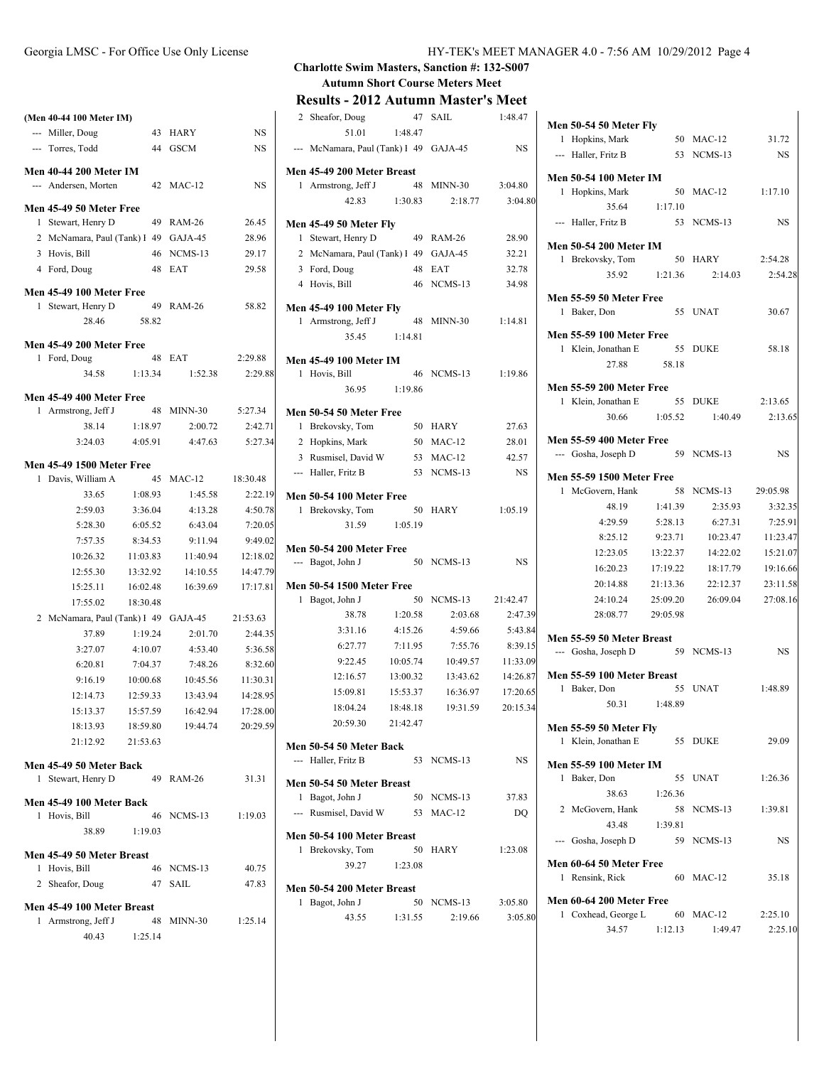## **(Men 40-44 100 Meter IM)** --- Miller, Doug 43 HARY NS --- Torres, Todd 44 GSCM NS **Men 40-44 200 Meter IM** --- Andersen, Morten 42 MAC-12 NS **Men 45-49 50 Meter Free** 1 Stewart, Henry D 49 RAM-26 26.45 2 McNamara, Paul (Tank) 1 49 GAJA-45 28.96 3 Hovis, Bill 46 NCMS-13 29.17 4 Ford, Doug 48 EAT 29.58 **Men 45-49 100 Meter Free** 1 Stewart, Henry D 49 RAM-26 58.82 28.46 58.82 **Men 45-49 200 Meter Free** 1 Ford, Doug 48 EAT 2:29.88 34.58 1:13.34 1:52.38 2:29.88 **Men 45-49 400 Meter Free**<br>1 Armstrong, Jeff J 48 MINN-30 1 Armstrong, Jeff J 48 MINN-30 5:27.34 38.14 1:18.97 2:00.72 2:42.71 3:24.03 4:05.91 4:47.63 5:27.34 **Men 45-49 1500 Meter Free** 1 Davis, William A 45 MAC-12 18:30.48 33.65 1:08.93 1:45.58 2:22.19 2:59.03 3:36.04 4:13.28 4:50.78

|   | 2:59.03                              | 3:36.04  | 4:13.28     | 4:50.78  |
|---|--------------------------------------|----------|-------------|----------|
|   | 5:28.30                              | 6:05.52  | 6:43.04     | 7:20.05  |
|   | 7:57.35                              | 8:34.53  | 9:11.94     | 9:49.02  |
|   | 10:26.32                             | 11:03.83 | 11:40.94    | 12:18.02 |
|   | 12:55.30                             | 13:32.92 | 14:10.55    | 14:47.79 |
|   | 15:25.11                             | 16:02.48 | 16:39.69    | 17:17.81 |
|   | 17:55.02                             | 18:30.48 |             |          |
|   | 2 McNamara, Paul (Tank) 1 49 GAJA-45 |          |             | 21:53.63 |
|   | 37.89                                | 1:19.24  | 2:01.70     | 2:44.35  |
|   | 3:27.07                              | 4:10.07  | 4:53.40     | 5:36.58  |
|   | 6:20.81                              | 7:04.37  | 7:48.26     | 8:32.60  |
|   | 9:16.19                              | 10:00.68 | 10:45.56    | 11:30.31 |
|   | 12:14.73                             | 12:59.33 | 13:43.94    | 14:28.95 |
|   | 15:13.37                             | 15:57.59 | 16:42.94    | 17:28.00 |
|   | 18:13.93                             | 18:59.80 | 19:44.74    | 20:29.59 |
|   | 21:12.92                             | 21:53.63 |             |          |
|   | Men 45-49 50 Meter Back              |          |             |          |
| 1 | Stewart, Henry D                     |          | 49 RAM-26   | 31.31    |
|   | Men 45-49 100 Meter Back             |          |             |          |
| 1 | Hovis, Bill                          | 46       | NCMS-13     | 1:19.03  |
|   | 38.89                                | 1:19.03  |             |          |
|   | Men 45-49 50 Meter Breast            |          |             |          |
| 1 | Hovis, Bill                          | 46       | $NCMS-13$   | 40.75    |
|   | 2 Sheafor, Doug                      | 47       | <b>SAIL</b> | 47.83    |
|   | Men 45-49 100 Meter Breast           |          |             |          |
|   | 1 Armstrong, Jeff J                  | 48       | $MINN-30$   | 1:25.14  |
|   | 40.43                                | 1:25.14  |             |          |

### **Charlotte Swim Masters, Sanction #: 132-S007 Autumn Short Course Meters Meet**

### **Results - 2012 Autumn Master's Meet**

| 2 Sheafor, Doug                        | 47       | <b>SAIL</b>                   | 1:48.47   |
|----------------------------------------|----------|-------------------------------|-----------|
| 51.01                                  | 1:48.47  |                               |           |
| --- McNamara, Paul (Tank) I 49 GAJA-45 |          |                               | <b>NS</b> |
| Men 45-49 200 Meter Breast             |          |                               |           |
| 1 Armstrong, Jeff J                    |          | 48 MINN-30                    | 3:04.80   |
| 42.83                                  | 1:30.83  | 2:18.77                       | 3:04.80   |
| Men 45-49 50 Meter Fly                 |          |                               |           |
| Stewart, Henry D<br>1                  |          | 49 RAM-26                     | 28.90     |
| 2 McNamara, Paul (Tank) I 49           |          | GAJA-45                       | 32.21     |
| 3 Ford, Doug                           | 48       | EAT                           | 32.78     |
| 4 Hovis, Bill                          |          | 46 NCMS-13                    | 34.98     |
| <b>Men 45-49 100 Meter Fly</b>         |          |                               |           |
| Armstrong, Jeff J<br>1                 | 48       | MINN-30                       | 1:14.81   |
| 35.45                                  | 1:14.81  |                               |           |
| <b>Men 45-49 100 Meter IM</b>          |          |                               |           |
| 1 Hovis, Bill                          | 46       | $NCMS-13$                     | 1:19.86   |
| 36.95                                  | 1:19.86  |                               |           |
| Men 50-54 50 Meter Free                |          |                               |           |
| 1<br>Brekovsky, Tom                    |          | 50 HARY                       | 27.63     |
| 2 Hopkins, Mark                        |          | 50 MAC-12                     | 28.01     |
| 3 Rusmisel, David W                    |          | 53 MAC-12                     | 42.57     |
| --- Haller, Fritz B                    |          | 53 NCMS-13                    | <b>NS</b> |
| <b>Men 50-54 100 Meter Free</b>        |          |                               |           |
| 1 Brekovsky, Tom                       | 50       | HARY                          | 1:05.19   |
| 31.59                                  | 1:05.19  |                               |           |
| <b>Men 50-54 200 Meter Free</b>        |          |                               |           |
| --- Bagot, John J                      |          | 50 NCMS-13                    | <b>NS</b> |
| <b>Men 50-54 1500 Meter Free</b>       |          |                               |           |
| Bagot, John J<br>1                     | 50       | NCMS-13                       | 21:42.47  |
| 38.78                                  | 1:20.58  | 2:03.68                       | 2:47.39   |
| 3:31.16                                | 4:15.26  | 4:59.66                       | 5:43.84   |
| 6:27.77                                | 7:11.95  | 7:55.76                       | 8:39.15   |
| 9:22.45                                | 10:05.74 | 10:49.57                      | 11:33.09  |
| 12:16.57                               | 13:00.32 | 13:43.62                      | 14:26.87  |
| 15:09.81                               | 15:53.37 | 16:36.97                      | 17:20.65  |
| 18:04.24                               | 18:48.18 | 19:31.59                      | 20:15.34  |
| 20:59.30                               | 21:42.47 |                               |           |
| Men 50-54 50 Meter Back                |          |                               |           |
| --- Haller, Fritz B                    |          | 53 NCMS-13                    | NS        |
| Men 50-54 50 Meter Breast              |          |                               |           |
| 1<br>Bagot, John J                     |          | 50 NCMS-13                    | 37.83     |
| --- Rusmisel, David W                  |          | 53 MAC-12                     | DQ        |
| Men 50-54 100 Meter Breast             |          |                               |           |
| Brekovsky, Tom<br>1                    |          | 50 HARY                       | 1:23.08   |
| 39.27                                  | 1:23.08  |                               |           |
| Men 50-54 200 Meter Breast             |          |                               |           |
| 1 Bagot, John J                        |          | 50 NCMS-13                    | 3:05.80   |
|                                        |          | 43.55 1:31.55 2:19.66 3:05.80 |           |

| Men 50-54 50 Meter Fly                                            |          |                               |           |
|-------------------------------------------------------------------|----------|-------------------------------|-----------|
| 1 Hopkins, Mark                                                   |          | 50 MAC-12                     | 31.72     |
| --- Haller, Fritz B                                               |          | 53 NCMS-13                    | <b>NS</b> |
| <b>Men 50-54 100 Meter IM</b>                                     |          |                               |           |
| 1 Hopkins, Mark                                                   |          | 50 MAC-12                     | 1:17.10   |
| 35.64 1:17.10                                                     |          |                               |           |
| --- Haller, Fritz B                                               |          | 53 NCMS-13                    | NS        |
| <b>Men 50-54 200 Meter IM</b>                                     |          |                               |           |
| 1 Brekovsky, Tom                                                  |          | 50 HARY                       | 2:54.28   |
| $35.92$ 1:21.36                                                   |          | 2:14.03                       | 2:54.28   |
| Men 55-59 50 Meter Free                                           |          |                               |           |
| 1 Baker, Don                                                      |          | 55 UNAT                       | 30.67     |
|                                                                   |          |                               |           |
| <b>Men 55-59 100 Meter Free</b>                                   |          |                               |           |
| 1 Klein, Jonathan E                                               |          | 55 DUKE                       | 58.18     |
| 27.88                                                             | 58.18    |                               |           |
| <b>Men 55-59 200 Meter Free</b>                                   |          |                               |           |
| 1 Klein, Jonathan E                                               |          | 55 DUKE                       | 2:13.65   |
|                                                                   |          | 30.66 1:05.52 1:40.49 2:13.65 |           |
|                                                                   |          |                               |           |
| <b>Men 55-59 400 Meter Free</b><br>--- Gosha, Joseph D 59 NCMS-13 |          |                               | <b>NS</b> |
|                                                                   |          |                               |           |
| <b>Men 55-59 1500 Meter Free</b>                                  |          |                               |           |
| 1 McGovern, Hank                                                  | 58       | NCMS-13                       | 29:05.98  |
| 48.19                                                             | 1:41.39  | 2:35.93                       | 3:32.35   |
| 4:29.59                                                           | 5:28.13  | 6:27.31                       | 7:25.91   |
| 8:25.12                                                           | 9:23.71  | 10:23.47                      | 11:23.47  |
| 12:23.05                                                          | 13:22.37 | 14:22.02                      | 15:21.07  |
| 16:20.23                                                          | 17:19.22 | 18:17.79                      | 19:16.66  |
| 20:14.88                                                          | 21:13.36 | 22:12.37                      | 23:11.58  |
| 24:10.24                                                          | 25:09.20 | 26:09.04                      | 27:08.16  |
| 28:08.77                                                          | 29:05.98 |                               |           |
| Men 55-59 50 Meter Breast                                         |          |                               |           |
| --- Gosha, Joseph D                                               |          | 59 NCMS-13                    | <b>NS</b> |
| Men 55-59 100 Meter Breast                                        |          |                               |           |
| Baker, Don<br>1                                                   | 55       | <b>UNAT</b>                   | 1:48.89   |
| 50.31                                                             | 1:48.89  |                               |           |
|                                                                   |          |                               |           |
| <b>Men 55-59 50 Meter Fly</b>                                     |          |                               |           |
| 1 Klein, Jonathan E                                               |          | 55 DUKE                       | 29.09     |
| <b>Men 55-59 100 Meter IM</b>                                     |          |                               |           |
| 1 Baker, Don                                                      | 55       | UNAT                          | 1:26.36   |
| 38.63                                                             | 1:26.36  |                               |           |
| 2<br>McGovern, Hank                                               | 58       | NCMS-13                       | 1:39.81   |
| 43.48                                                             | 1:39.81  |                               |           |
| --- Gosha, Joseph D                                               |          | 59 NCMS-13                    | NS        |
| Men 60-64 50 Meter Free                                           |          |                               |           |
| 1 Rensink, Rick                                                   |          | 60 MAC-12                     | 35.18     |
|                                                                   |          |                               |           |
| Men 60-64 200 Meter Free                                          |          |                               |           |
| Coxhead, George L<br>1                                            |          | 60 MAC-12                     | 2:25.10   |
| 34.57                                                             | 1:12.13  | 1:49.47                       | 2:25.10   |
|                                                                   |          |                               |           |